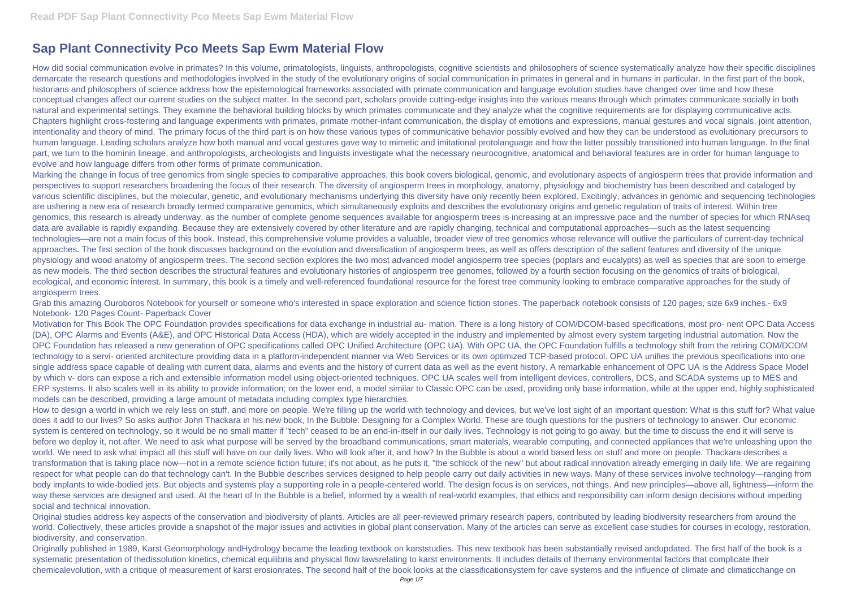# **Sap Plant Connectivity Pco Meets Sap Ewm Material Flow**

How did social communication evolve in primates? In this volume, primatologists, linguists, anthropologists, cognitive scientists and philosophers of science systematically analyze how their specific disciplines demarcate the research questions and methodologies involved in the study of the evolutionary origins of social communication in primates in general and in humans in particular. In the first part of the book, historians and philosophers of science address how the epistemological frameworks associated with primate communication and language evolution studies have changed over time and how these conceptual changes affect our current studies on the subject matter. In the second part, scholars provide cutting-edge insights into the various means through which primates communicate socially in both natural and experimental settings. They examine the behavioral building blocks by which primates communicate and they analyze what the cognitive requirements are for displaying communicative acts. Chapters highlight cross-fostering and language experiments with primates, primate mother-infant communication, the display of emotions and expressions, manual gestures and vocal signals, joint attention, intentionality and theory of mind. The primary focus of the third part is on how these various types of communicative behavior possibly evolved and how they can be understood as evolutionary precursors to human language. Leading scholars analyze how both manual and vocal gestures gave way to mimetic and imitational protolanguage and how the latter possibly transitioned into human language. In the final part, we turn to the hominin lineage, and anthropologists, archeologists and linguists investigate what the necessary neurocognitive, anatomical and behavioral features are in order for human language to evolve and how language differs from other forms of primate communication.

Marking the change in focus of tree genomics from single species to comparative approaches, this book covers biological, genomic, and evolutionary aspects of angiosperm trees that provide information and perspectives to support researchers broadening the focus of their research. The diversity of angiosperm trees in morphology, anatomy, physiology and biochemistry has been described and cataloged by various scientific disciplines, but the molecular, genetic, and evolutionary mechanisms underlying this diversity have only recently been explored. Excitingly, advances in genomic and sequencing technologies are ushering a new era of research broadly termed comparative genomics, which simultaneously exploits and describes the evolutionary origins and genetic regulation of traits of interest. Within tree genomics, this research is already underway, as the number of complete genome sequences available for angiosperm trees is increasing at an impressive pace and the number of species for which RNAseq data are available is rapidly expanding. Because they are extensively covered by other literature and are rapidly changing, technical and computational approaches—such as the latest sequencing technologies—are not a main focus of this book. Instead, this comprehensive volume provides a valuable, broader view of tree genomics whose relevance will outlive the particulars of current-day technical approaches. The first section of the book discusses background on the evolution and diversification of angiosperm trees, as well as offers description of the salient features and diversity of the unique physiology and wood anatomy of angiosperm trees. The second section explores the two most advanced model angiosperm tree species (poplars and eucalypts) as well as species that are soon to emerge as new models. The third section describes the structural features and evolutionary histories of angiosperm tree genomes, followed by a fourth section focusing on the genomics of traits of biological, ecological, and economic interest. In summary, this book is a timely and well-referenced foundational resource for the forest tree community looking to embrace comparative approaches for the study of angiosperm trees.

How to design a world in which we rely less on stuff, and more on people. We're filling up the world with technology and devices, but we've lost sight of an important question: What is this stuff for? What value does it add to our lives? So asks author John Thackara in his new book, In the Bubble: Designing for a Complex World. These are tough questions for the pushers of technology to answer. Our economic system is centered on technology, so it would be no small matter if "tech" ceased to be an end-in-itself in our daily lives. Technology is not going to go away, but the time to discuss the end it will serve is before we deploy it, not after. We need to ask what purpose will be served by the broadband communications, smart materials, wearable computing, and connected appliances that we're unleashing upon the world. We need to ask what impact all this stuff will have on our daily lives. Who will look after it, and how? In the Bubble is about a world based less on stuff and more on people. Thackara describes a transformation that is taking place now—not in a remote science fiction future; it's not about, as he puts it, "the schlock of the new" but about radical innovation already emerging in daily life. We are regaining respect for what people can do that technology can't. In the Bubble describes services designed to help people carry out daily activities in new ways. Many of these services involve technology—ranging from body implants to wide-bodied jets. But objects and systems play a supporting role in a people-centered world. The design focus is on services, not things. And new principles—above all, lightness—inform the way these services are designed and used. At the heart of In the Bubble is a belief, informed by a wealth of real-world examples, that ethics and responsibility can inform design decisions without impeding social and technical innovation.

Grab this amazing Ouroboros Notebook for yourself or someone who's interested in space exploration and science fiction stories. The paperback notebook consists of 120 pages, size 6x9 inches.- 6x9 Notebook- 120 Pages Count- Paperback Cover

Motivation for This Book The OPC Foundation provides specifications for data exchange in industrial au- mation. There is a long history of COM/DCOM-based specifications, most pro- nent OPC Data Access (DA), OPC Alarms and Events (A&E), and OPC Historical Data Access (HDA), which are widely accepted in the industry and implemented by almost every system targeting industrial automation. Now the OPC Foundation has released a new generation of OPC specifications called OPC Unified Architecture (OPC UA). With OPC UA, the OPC Foundation fulfills a technology shift from the retiring COM/DCOM technology to a servi- oriented architecture providing data in a platform-independent manner via Web Services or its own optimized TCP-based protocol. OPC UA unifies the previous specifications into one single address space capable of dealing with current data, alarms and events and the history of current data as well as the event history. A remarkable enhancement of OPC UA is the Address Space Model by which v- dors can expose a rich and extensible information model using object-oriented techniques. OPC UA scales well from intelligent devices, controllers, DCS, and SCADA systems up to MES and ERP systems. It also scales well in its ability to provide information; on the lower end, a model similar to Classic OPC can be used, providing only base information, while at the upper end, highly sophisticated models can be described, providing a large amount of metadata including complex type hierarchies.

Original studies address key aspects of the conservation and biodiversity of plants. Articles are all peer-reviewed primary research papers, contributed by leading biodiversity researchers from around the world. Collectively, these articles provide a snapshot of the major issues and activities in global plant conservation. Many of the articles can serve as excellent case studies for courses in ecology, restoration, biodiversity, and conservation.

Originally published in 1989, Karst Geomorphology andHydrology became the leading textbook on karststudies. This new textbook has been substantially revised andupdated. The first half of the book is a systematic presentation of thedissolution kinetics, chemical equilibria and physical flow lawsrelating to karst environments. It includes details of themany environmental factors that complicate their chemicalevolution, with a critique of measurement of karst erosionrates. The second half of the book looks at the classificationsystem for cave systems and the influence of climate and climaticchange on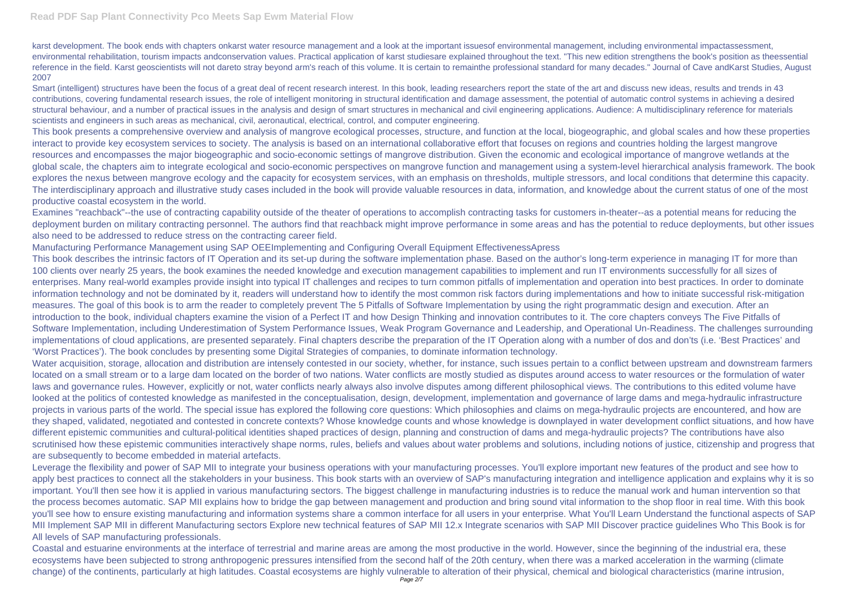karst development. The book ends with chapters onkarst water resource management and a look at the important issuesof environmental management, including environmental impactassessment, environmental rehabilitation, tourism impacts andconservation values. Practical application of karst studiesare explained throughout the text. "This new edition strengthens the book's position as theessential reference in the field. Karst geoscientists will not dareto stray beyond arm's reach of this volume. It is certain to remainthe professional standard for many decades." Journal of Cave andKarst Studies, August 2007

Smart (intelligent) structures have been the focus of a great deal of recent research interest. In this book, leading researchers report the state of the art and discuss new ideas, results and trends in 43 contributions, covering fundamental research issues, the role of intelligent monitoring in structural identification and damage assessment, the potential of automatic control systems in achieving a desired structural behaviour, and a number of practical issues in the analysis and design of smart structures in mechanical and civil engineering applications. Audience: A multidisciplinary reference for materials scientists and engineers in such areas as mechanical, civil, aeronautical, electrical, control, and computer engineering.

This book presents a comprehensive overview and analysis of mangrove ecological processes, structure, and function at the local, biogeographic, and global scales and how these properties interact to provide key ecosystem services to society. The analysis is based on an international collaborative effort that focuses on regions and countries holding the largest mangrove resources and encompasses the major biogeographic and socio-economic settings of mangrove distribution. Given the economic and ecological importance of mangrove wetlands at the global scale, the chapters aim to integrate ecological and socio-economic perspectives on mangrove function and management using a system-level hierarchical analysis framework. The book explores the nexus between mangrove ecology and the capacity for ecosystem services, with an emphasis on thresholds, multiple stressors, and local conditions that determine this capacity. The interdisciplinary approach and illustrative study cases included in the book will provide valuable resources in data, information, and knowledge about the current status of one of the most productive coastal ecosystem in the world.

This book describes the intrinsic factors of IT Operation and its set-up during the software implementation phase. Based on the author's long-term experience in managing IT for more than 100 clients over nearly 25 years, the book examines the needed knowledge and execution management capabilities to implement and run IT environments successfully for all sizes of enterprises. Many real-world examples provide insight into typical IT challenges and recipes to turn common pitfalls of implementation and operation into best practices. In order to dominate information technology and not be dominated by it, readers will understand how to identify the most common risk factors during implementations and how to initiate successful risk-mitigation measures. The goal of this book is to arm the reader to completely prevent The 5 Pitfalls of Software Implementation by using the right programmatic design and execution. After an introduction to the book, individual chapters examine the vision of a Perfect IT and how Design Thinking and innovation contributes to it. The core chapters conveys The Five Pitfalls of Software Implementation, including Underestimation of System Performance Issues, Weak Program Governance and Leadership, and Operational Un-Readiness. The challenges surrounding implementations of cloud applications, are presented separately. Final chapters describe the preparation of the IT Operation along with a number of dos and don'ts (i.e. 'Best Practices' and 'Worst Practices'). The book concludes by presenting some Digital Strategies of companies, to dominate information technology.

Examines "reachback"--the use of contracting capability outside of the theater of operations to accomplish contracting tasks for customers in-theater--as a potential means for reducing the deployment burden on military contracting personnel. The authors find that reachback might improve performance in some areas and has the potential to reduce deployments, but other issues also need to be addressed to reduce stress on the contracting career field.

Manufacturing Performance Management using SAP OEEImplementing and Configuring Overall Equipment EffectivenessApress

Water acquisition, storage, allocation and distribution are intensely contested in our society, whether, for instance, such issues pertain to a conflict between upstream and downstream farmers located on a small stream or to a large dam located on the border of two nations. Water conflicts are mostly studied as disputes around access to water resources or the formulation of water laws and governance rules. However, explicitly or not, water conflicts nearly always also involve disputes among different philosophical views. The contributions to this edited volume have looked at the politics of contested knowledge as manifested in the conceptualisation, design, development, implementation and governance of large dams and mega-hydraulic infrastructure projects in various parts of the world. The special issue has explored the following core questions: Which philosophies and claims on mega-hydraulic projects are encountered, and how are they shaped, validated, negotiated and contested in concrete contexts? Whose knowledge counts and whose knowledge is downplayed in water development conflict situations, and how have different epistemic communities and cultural-political identities shaped practices of design, planning and construction of dams and mega-hydraulic projects? The contributions have also scrutinised how these epistemic communities interactively shape norms, rules, beliefs and values about water problems and solutions, including notions of justice, citizenship and progress that are subsequently to become embedded in material artefacts.

Leverage the flexibility and power of SAP MII to integrate your business operations with your manufacturing processes. You'll explore important new features of the product and see how to apply best practices to connect all the stakeholders in your business. This book starts with an overview of SAP's manufacturing integration and intelligence application and explains why it is so important. You'll then see how it is applied in various manufacturing sectors. The biggest challenge in manufacturing industries is to reduce the manual work and human intervention so that the process becomes automatic. SAP MII explains how to bridge the gap between management and production and bring sound vital information to the shop floor in real time. With this book you'll see how to ensure existing manufacturing and information systems share a common interface for all users in your enterprise. What You'll Learn Understand the functional aspects of SAP MII Implement SAP MII in different Manufacturing sectors Explore new technical features of SAP MII 12.x Integrate scenarios with SAP MII Discover practice guidelines Who This Book is for All levels of SAP manufacturing professionals.

Coastal and estuarine environments at the interface of terrestrial and marine areas are among the most productive in the world. However, since the beginning of the industrial era, these ecosystems have been subjected to strong anthropogenic pressures intensified from the second half of the 20th century, when there was a marked acceleration in the warming (climate change) of the continents, particularly at high latitudes. Coastal ecosystems are highly vulnerable to alteration of their physical, chemical and biological characteristics (marine intrusion,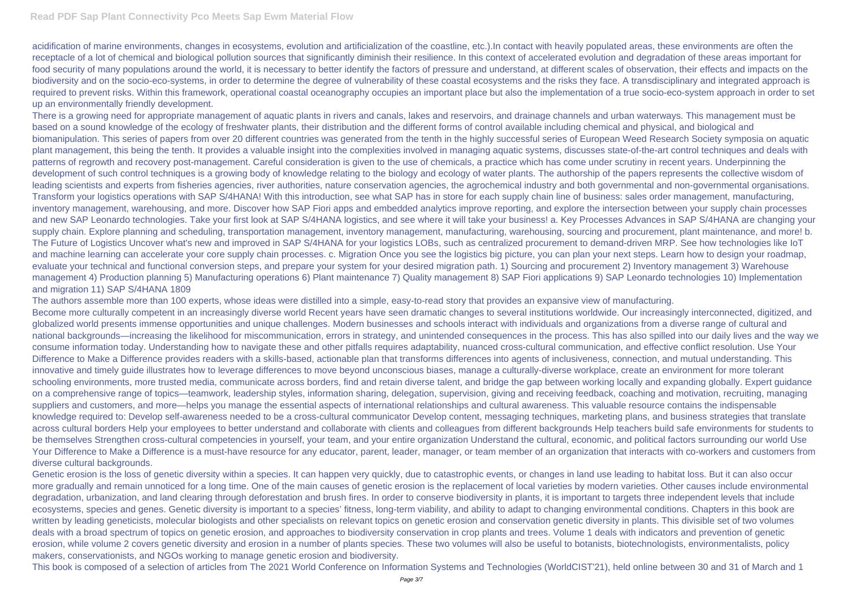acidification of marine environments, changes in ecosystems, evolution and artificialization of the coastline, etc.).In contact with heavily populated areas, these environments are often the receptacle of a lot of chemical and biological pollution sources that significantly diminish their resilience. In this context of accelerated evolution and degradation of these areas important for food security of many populations around the world, it is necessary to better identify the factors of pressure and understand, at different scales of observation, their effects and impacts on the biodiversity and on the socio-eco-systems, in order to determine the degree of vulnerability of these coastal ecosystems and the risks they face. A transdisciplinary and integrated approach is required to prevent risks. Within this framework, operational coastal oceanography occupies an important place but also the implementation of a true socio-eco-system approach in order to set up an environmentally friendly development.

There is a growing need for appropriate management of aquatic plants in rivers and canals, lakes and reservoirs, and drainage channels and urban waterways. This management must be based on a sound knowledge of the ecology of freshwater plants, their distribution and the different forms of control available including chemical and physical, and biological and biomanipulation. This series of papers from over 20 different countries was generated from the tenth in the highly successful series of European Weed Research Society symposia on aquatic plant management, this being the tenth. It provides a valuable insight into the complexities involved in managing aquatic systems, discusses state-of-the-art control techniques and deals with patterns of regrowth and recovery post-management. Careful consideration is given to the use of chemicals, a practice which has come under scrutiny in recent years. Underpinning the development of such control techniques is a growing body of knowledge relating to the biology and ecology of water plants. The authorship of the papers represents the collective wisdom of leading scientists and experts from fisheries agencies, river authorities, nature conservation agencies, the agrochemical industry and both governmental and non-governmental organisations. Transform your logistics operations with SAP S/4HANA! With this introduction, see what SAP has in store for each supply chain line of business: sales order management, manufacturing, inventory management, warehousing, and more. Discover how SAP Fiori apps and embedded analytics improve reporting, and explore the intersection between your supply chain processes and new SAP Leonardo technologies. Take your first look at SAP S/4HANA logistics, and see where it will take your business! a. Key Processes Advances in SAP S/4HANA are changing your supply chain. Explore planning and scheduling, transportation management, inventory management, manufacturing, warehousing, sourcing and procurement, plant maintenance, and more! b. The Future of Logistics Uncover what's new and improved in SAP S/4HANA for your logistics LOBs, such as centralized procurement to demand-driven MRP. See how technologies like IoT and machine learning can accelerate your core supply chain processes. c. Migration Once you see the logistics big picture, you can plan your next steps. Learn how to design your roadmap, evaluate your technical and functional conversion steps, and prepare your system for your desired migration path. 1) Sourcing and procurement 2) Inventory management 3) Warehouse management 4) Production planning 5) Manufacturing operations 6) Plant maintenance 7) Quality management 8) SAP Fiori applications 9) SAP Leonardo technologies 10) Implementation and migration 11) SAP S/4HANA 1809

The authors assemble more than 100 experts, whose ideas were distilled into a simple, easy-to-read story that provides an expansive view of manufacturing. Become more culturally competent in an increasingly diverse world Recent years have seen dramatic changes to several institutions worldwide. Our increasingly interconnected, digitized, and globalized world presents immense opportunities and unique challenges. Modern businesses and schools interact with individuals and organizations from a diverse range of cultural and national backgrounds—increasing the likelihood for miscommunication, errors in strategy, and unintended consequences in the process. This has also spilled into our daily lives and the way we consume information today. Understanding how to navigate these and other pitfalls requires adaptability, nuanced cross-cultural communication, and effective conflict resolution. Use Your Difference to Make a Difference provides readers with a skills-based, actionable plan that transforms differences into agents of inclusiveness, connection, and mutual understanding. This innovative and timely guide illustrates how to leverage differences to move beyond unconscious biases, manage a culturally-diverse workplace, create an environment for more tolerant schooling environments, more trusted media, communicate across borders, find and retain diverse talent, and bridge the gap between working locally and expanding globally. Expert guidance on a comprehensive range of topics—teamwork, leadership styles, information sharing, delegation, supervision, giving and receiving feedback, coaching and motivation, recruiting, managing suppliers and customers, and more—helps you manage the essential aspects of international relationships and cultural awareness. This valuable resource contains the indispensable knowledge required to: Develop self-awareness needed to be a cross-cultural communicator Develop content, messaging techniques, marketing plans, and business strategies that translate across cultural borders Help your employees to better understand and collaborate with clients and colleagues from different backgrounds Help teachers build safe environments for students to be themselves Strengthen cross-cultural competencies in yourself, your team, and your entire organization Understand the cultural, economic, and political factors surrounding our world Use Your Difference to Make a Difference is a must-have resource for any educator, parent, leader, manager, or team member of an organization that interacts with co-workers and customers from diverse cultural backgrounds.

Genetic erosion is the loss of genetic diversity within a species. It can happen very quickly, due to catastrophic events, or changes in land use leading to habitat loss. But it can also occur more gradually and remain unnoticed for a long time. One of the main causes of genetic erosion is the replacement of local varieties by modern varieties. Other causes include environmental degradation, urbanization, and land clearing through deforestation and brush fires. In order to conserve biodiversity in plants, it is important to targets three independent levels that include ecosystems, species and genes. Genetic diversity is important to a species' fitness, long-term viability, and ability to adapt to changing environmental conditions. Chapters in this book are written by leading geneticists, molecular biologists and other specialists on relevant topics on genetic erosion and conservation genetic diversity in plants. This divisible set of two volumes deals with a broad spectrum of topics on genetic erosion, and approaches to biodiversity conservation in crop plants and trees. Volume 1 deals with indicators and prevention of genetic erosion, while volume 2 covers genetic diversity and erosion in a number of plants species. These two volumes will also be useful to botanists, biotechnologists, environmentalists, policy makers, conservationists, and NGOs working to manage genetic erosion and biodiversity.

This book is composed of a selection of articles from The 2021 World Conference on Information Systems and Technologies (WorldCIST'21), held online between 30 and 31 of March and 1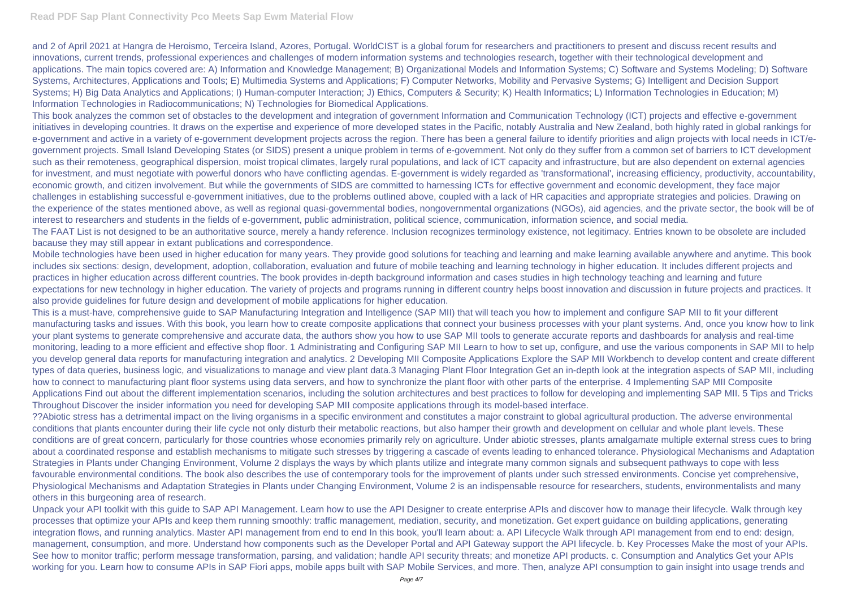## **Read PDF Sap Plant Connectivity Pco Meets Sap Ewm Material Flow**

and 2 of April 2021 at Hangra de Heroismo, Terceira Island, Azores, Portugal. WorldCIST is a global forum for researchers and practitioners to present and discuss recent results and innovations, current trends, professional experiences and challenges of modern information systems and technologies research, together with their technological development and applications. The main topics covered are: A) Information and Knowledge Management; B) Organizational Models and Information Systems; C) Software and Systems Modeling; D) Software Systems, Architectures, Applications and Tools; E) Multimedia Systems and Applications; F) Computer Networks, Mobility and Pervasive Systems; G) Intelligent and Decision Support Systems; H) Big Data Analytics and Applications; I) Human-computer Interaction; J) Ethics, Computers & Security; K) Health Informatics; L) Information Technologies in Education; M) Information Technologies in Radiocommunications; N) Technologies for Biomedical Applications.

This book analyzes the common set of obstacles to the development and integration of government Information and Communication Technology (ICT) projects and effective e-government initiatives in developing countries. It draws on the expertise and experience of more developed states in the Pacific, notably Australia and New Zealand, both highly rated in global rankings for e-government and active in a variety of e-government development projects across the region. There has been a general failure to identify priorities and align projects with local needs in ICT/egovernment projects. Small Island Developing States (or SIDS) present a unique problem in terms of e-government. Not only do they suffer from a common set of barriers to ICT development such as their remoteness, geographical dispersion, moist tropical climates, largely rural populations, and lack of ICT capacity and infrastructure, but are also dependent on external agencies for investment, and must negotiate with powerful donors who have conflicting agendas. E-government is widely regarded as 'transformational', increasing efficiency, productivity, accountability, economic growth, and citizen involvement. But while the governments of SIDS are committed to harnessing ICTs for effective government and economic development, they face major challenges in establishing successful e-government initiatives, due to the problems outlined above, coupled with a lack of HR capacities and appropriate strategies and policies. Drawing on the experience of the states mentioned above, as well as regional quasi-governmental bodies, nongovernmental organizations (NGOs), aid agencies, and the private sector, the book will be of interest to researchers and students in the fields of e-government, public administration, political science, communication, information science, and social media. The FAAT List is not designed to be an authoritative source, merely a handy reference. Inclusion recognizes terminology existence, not legitimacy. Entries known to be obsolete are included bacause they may still appear in extant publications and correspondence.

Mobile technologies have been used in higher education for many years. They provide good solutions for teaching and learning and make learning available anywhere and anytime. This book includes six sections: design, development, adoption, collaboration, evaluation and future of mobile teaching and learning technology in higher education. It includes different projects and practices in higher education across different countries. The book provides in-depth background information and cases studies in high technology teaching and learning and future expectations for new technology in higher education. The variety of projects and programs running in different country helps boost innovation and discussion in future projects and practices. It also provide guidelines for future design and development of mobile applications for higher education.

This is a must-have, comprehensive guide to SAP Manufacturing Integration and Intelligence (SAP MII) that will teach you how to implement and configure SAP MII to fit your different manufacturing tasks and issues. With this book, you learn how to create composite applications that connect your business processes with your plant systems. And, once you know how to link your plant systems to generate comprehensive and accurate data, the authors show you how to use SAP MII tools to generate accurate reports and dashboards for analysis and real-time monitoring, leading to a more efficient and effective shop floor. 1 Administrating and Configuring SAP MII Learn to how to set up, configure, and use the various components in SAP MII to help you develop general data reports for manufacturing integration and analytics. 2 Developing MII Composite Applications Explore the SAP MII Workbench to develop content and create different types of data queries, business logic, and visualizations to manage and view plant data.3 Managing Plant Floor Integration Get an in-depth look at the integration aspects of SAP MII, including how to connect to manufacturing plant floor systems using data servers, and how to synchronize the plant floor with other parts of the enterprise. 4 Implementing SAP MII Composite Applications Find out about the different implementation scenarios, including the solution architectures and best practices to follow for developing and implementing SAP MII. 5 Tips and Tricks Throughout Discover the insider information you need for developing SAP MII composite applications through its model-based interface.

??Abiotic stress has a detrimental impact on the living organisms in a specific environment and constitutes a major constraint to global agricultural production. The adverse environmental conditions that plants encounter during their life cycle not only disturb their metabolic reactions, but also hamper their growth and development on cellular and whole plant levels. These conditions are of great concern, particularly for those countries whose economies primarily rely on agriculture. Under abiotic stresses, plants amalgamate multiple external stress cues to bring about a coordinated response and establish mechanisms to mitigate such stresses by triggering a cascade of events leading to enhanced tolerance. Physiological Mechanisms and Adaptation Strategies in Plants under Changing Environment, Volume 2 displays the ways by which plants utilize and integrate many common signals and subsequent pathways to cope with less favourable environmental conditions. The book also describes the use of contemporary tools for the improvement of plants under such stressed environments. Concise yet comprehensive, Physiological Mechanisms and Adaptation Strategies in Plants under Changing Environment, Volume 2 is an indispensable resource for researchers, students, environmentalists and many others in this burgeoning area of research.

Unpack your API toolkit with this guide to SAP API Management. Learn how to use the API Designer to create enterprise APIs and discover how to manage their lifecycle. Walk through key processes that optimize your APIs and keep them running smoothly: traffic management, mediation, security, and monetization. Get expert guidance on building applications, generating integration flows, and running analytics. Master API management from end to end In this book, you'll learn about: a. API Lifecycle Walk through API management from end to end: design, management, consumption, and more. Understand how components such as the Developer Portal and API Gateway support the API lifecycle. b. Key Processes Make the most of your APIs. See how to monitor traffic; perform message transformation, parsing, and validation; handle API security threats; and monetize API products. c. Consumption and Analytics Get your APIs working for you. Learn how to consume APIs in SAP Fiori apps, mobile apps built with SAP Mobile Services, and more. Then, analyze API consumption to gain insight into usage trends and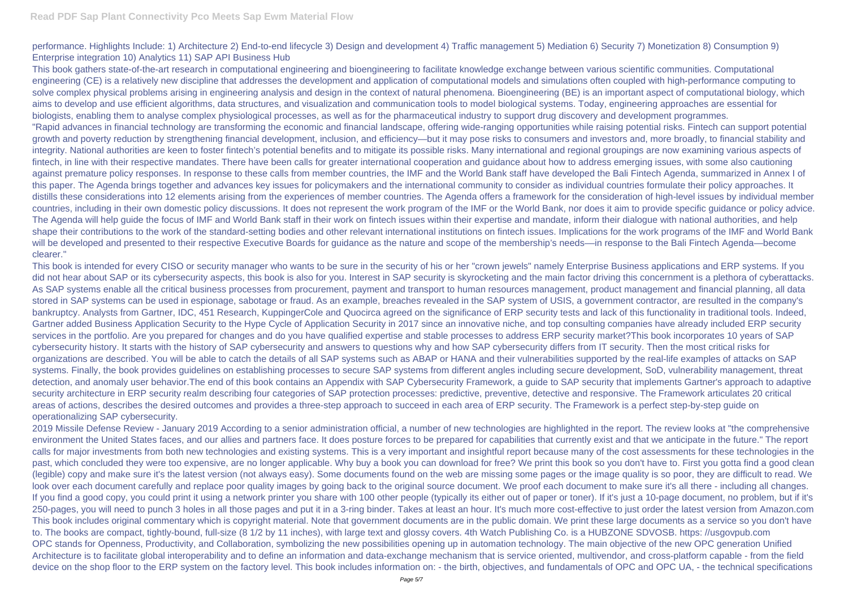performance. Highlights Include: 1) Architecture 2) End-to-end lifecycle 3) Design and development 4) Traffic management 5) Mediation 6) Security 7) Monetization 8) Consumption 9) Enterprise integration 10) Analytics 11) SAP API Business Hub

This book gathers state-of-the-art research in computational engineering and bioengineering to facilitate knowledge exchange between various scientific communities. Computational engineering (CE) is a relatively new discipline that addresses the development and application of computational models and simulations often coupled with high-performance computing to solve complex physical problems arising in engineering analysis and design in the context of natural phenomena. Bioengineering (BE) is an important aspect of computational biology, which aims to develop and use efficient algorithms, data structures, and visualization and communication tools to model biological systems. Today, engineering approaches are essential for biologists, enabling them to analyse complex physiological processes, as well as for the pharmaceutical industry to support drug discovery and development programmes. "Rapid advances in financial technology are transforming the economic and financial landscape, offering wide-ranging opportunities while raising potential risks. Fintech can support potential growth and poverty reduction by strengthening financial development, inclusion, and efficiency—but it may pose risks to consumers and investors and, more broadly, to financial stability and integrity. National authorities are keen to foster fintech's potential benefits and to mitigate its possible risks. Many international and regional groupings are now examining various aspects of fintech, in line with their respective mandates. There have been calls for greater international cooperation and guidance about how to address emerging issues, with some also cautioning against premature policy responses. In response to these calls from member countries, the IMF and the World Bank staff have developed the Bali Fintech Agenda, summarized in Annex I of this paper. The Agenda brings together and advances key issues for policymakers and the international community to consider as individual countries formulate their policy approaches. It distills these considerations into 12 elements arising from the experiences of member countries. The Agenda offers a framework for the consideration of high-level issues by individual member countries, including in their own domestic policy discussions. It does not represent the work program of the IMF or the World Bank, nor does it aim to provide specific guidance or policy advice. The Agenda will help guide the focus of IMF and World Bank staff in their work on fintech issues within their expertise and mandate, inform their dialogue with national authorities, and help shape their contributions to the work of the standard-setting bodies and other relevant international institutions on fintech issues. Implications for the work programs of the IMF and World Bank will be developed and presented to their respective Executive Boards for quidance as the nature and scope of the membership's needs—in response to the Bali Fintech Agenda—become clearer."

This book is intended for every CISO or security manager who wants to be sure in the security of his or her "crown jewels" namely Enterprise Business applications and ERP systems. If you did not hear about SAP or its cybersecurity aspects, this book is also for you. Interest in SAP security is skyrocketing and the main factor driving this concernment is a plethora of cyberattacks. As SAP systems enable all the critical business processes from procurement, payment and transport to human resources management, product management and financial planning, all data stored in SAP systems can be used in espionage, sabotage or fraud. As an example, breaches revealed in the SAP system of USIS, a government contractor, are resulted in the company's bankruptcy. Analysts from Gartner, IDC, 451 Research, KuppingerCole and Quocirca agreed on the significance of ERP security tests and lack of this functionality in traditional tools. Indeed, Gartner added Business Application Security to the Hype Cycle of Application Security in 2017 since an innovative niche, and top consulting companies have already included ERP security services in the portfolio. Are you prepared for changes and do you have qualified expertise and stable processes to address ERP security market? This book incorporates 10 years of SAP cybersecurity history. It starts with the history of SAP cybersecurity and answers to questions why and how SAP cybersecurity differs from IT security. Then the most critical risks for organizations are described. You will be able to catch the details of all SAP systems such as ABAP or HANA and their vulnerabilities supported by the real-life examples of attacks on SAP systems. Finally, the book provides guidelines on establishing processes to secure SAP systems from different angles including secure development, SoD, vulnerability management, threat detection, and anomaly user behavior.The end of this book contains an Appendix with SAP Cybersecurity Framework, a guide to SAP security that implements Gartner's approach to adaptive security architecture in ERP security realm describing four categories of SAP protection processes: predictive, preventive, detective and responsive. The Framework articulates 20 critical areas of actions, describes the desired outcomes and provides a three-step approach to succeed in each area of ERP security. The Framework is a perfect step-by-step guide on operationalizing SAP cybersecurity.

2019 Missile Defense Review - January 2019 According to a senior administration official, a number of new technologies are highlighted in the report. The review looks at "the comprehensive environment the United States faces, and our allies and partners face. It does posture forces to be prepared for capabilities that currently exist and that we anticipate in the future." The report calls for major investments from both new technologies and existing systems. This is a very important and insightful report because many of the cost assessments for these technologies in the past, which concluded they were too expensive, are no longer applicable. Why buy a book you can download for free? We print this book so you don't have to. First you gotta find a good clean (legible) copy and make sure it's the latest version (not always easy). Some documents found on the web are missing some pages or the image quality is so poor, they are difficult to read. We look over each document carefully and replace poor quality images by going back to the original source document. We proof each document to make sure it's all there - including all changes. If you find a good copy, you could print it using a network printer you share with 100 other people (typically its either out of paper or toner). If it's just a 10-page document, no problem, but if it's 250-pages, you will need to punch 3 holes in all those pages and put it in a 3-ring binder. Takes at least an hour. It's much more cost-effective to just order the latest version from Amazon.com This book includes original commentary which is copyright material. Note that government documents are in the public domain. We print these large documents as a service so you don't have to. The books are compact, tightly-bound, full-size (8 1/2 by 11 inches), with large text and glossy covers. 4th Watch Publishing Co. is a HUBZONE SDVOSB. https: //usgovpub.com OPC stands for Openness, Productivity, and Collaboration, symbolizing the new possibilities opening up in automation technology. The main objective of the new OPC generation Unified Architecture is to facilitate global interoperability and to define an information and data-exchange mechanism that is service oriented, multivendor, and cross-platform capable - from the field device on the shop floor to the ERP system on the factory level. This book includes information on: - the birth, objectives, and fundamentals of OPC and OPC UA, - the technical specifications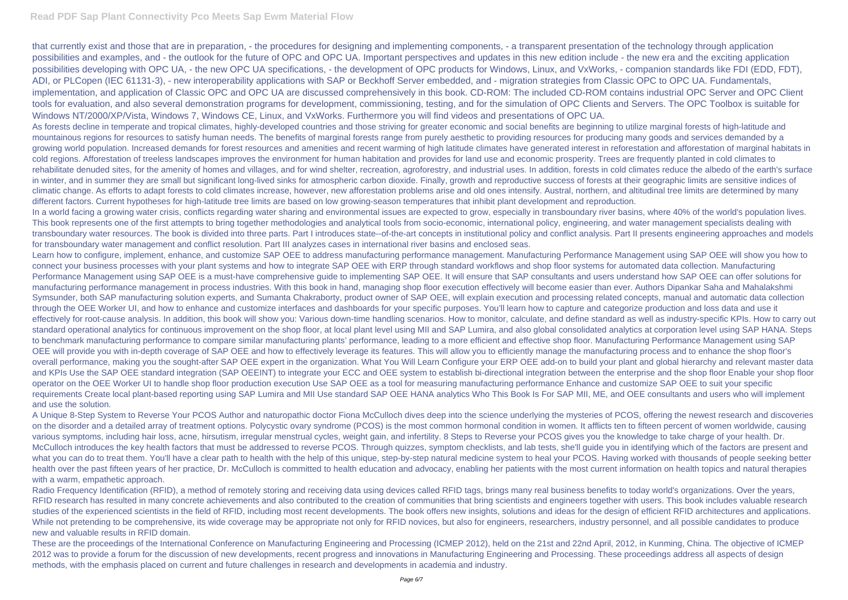## **Read PDF Sap Plant Connectivity Pco Meets Sap Ewm Material Flow**

that currently exist and those that are in preparation, - the procedures for designing and implementing components, - a transparent presentation of the technology through application possibilities and examples, and - the outlook for the future of OPC and OPC UA. Important perspectives and updates in this new edition include - the new era and the exciting application possibilities developing with OPC UA, - the new OPC UA specifications, - the development of OPC products for Windows, Linux, and VxWorks, - companion standards like FDI (EDD, FDT), ADI, or PLCopen (IEC 61131-3), - new interoperability applications with SAP or Beckhoff Server embedded, and - migration strategies from Classic OPC to OPC UA. Fundamentals, implementation, and application of Classic OPC and OPC UA are discussed comprehensively in this book. CD-ROM: The included CD-ROM contains industrial OPC Server and OPC Client tools for evaluation, and also several demonstration programs for development, commissioning, testing, and for the simulation of OPC Clients and Servers. The OPC Toolbox is suitable for Windows NT/2000/XP/Vista, Windows 7, Windows CE, Linux, and VxWorks. Furthermore you will find videos and presentations of OPC UA.

As forests decline in temperate and tropical climates, highly-developed countries and those striving for greater economic and social benefits are beginning to utilize marginal forests of high-latitude and mountainous regions for resources to satisfy human needs. The benefits of marginal forests range from purely aesthetic to providing resources for producing many goods and services demanded by a growing world population. Increased demands for forest resources and amenities and recent warming of high latitude climates have generated interest in reforestation and afforestation of marginal habitats in cold regions. Afforestation of treeless landscapes improves the environment for human habitation and provides for land use and economic prosperity. Trees are frequently planted in cold climates to rehabilitate denuded sites, for the amenity of homes and villages, and for wind shelter, recreation, agroforestry, and industrial uses. In addition, forests in cold climates reduce the albedo of the earth's surface in winter, and in summer they are small but significant long-lived sinks for atmospheric carbon dioxide. Finally, growth and reproductive success of forests at their geographic limits are sensitive indices of climatic change. As efforts to adapt forests to cold climates increase, however, new afforestation problems arise and old ones intensify. Austral, northern, and altitudinal tree limits are determined by many different factors. Current hypotheses for high-latitude tree limits are based on low growing-season temperatures that inhibit plant development and reproduction. In a world facing a growing water crisis, conflicts regarding water sharing and environmental issues are expected to grow, especially in transboundary river basins, where 40% of the world's population lives. This book represents one of the first attempts to bring together methodologies and analytical tools from socio-economic, international policy, engineering, and water management specialists dealing with transboundary water resources. The book is divided into three parts. Part I introduces state--of-the-art concepts in institutional policy and conflict analysis. Part II presents engineering approaches and models

for transboundary water management and conflict resolution. Part III analyzes cases in international river basins and enclosed seas.

Radio Frequency Identification (RFID), a method of remotely storing and receiving data using devices called RFID tags, brings many real business benefits to today world's organizations. Over the years, RFID research has resulted in many concrete achievements and also contributed to the creation of communities that bring scientists and engineers together with users. This book includes valuable research studies of the experienced scientists in the field of RFID, including most recent developments. The book offers new insights, solutions and ideas for the design of efficient RFID architectures and applications. While not pretending to be comprehensive, its wide coverage may be appropriate not only for RFID novices, but also for engineers, researchers, industry personnel, and all possible candidates to produce new and valuable results in RFID domain.

Learn how to configure, implement, enhance, and customize SAP OEE to address manufacturing performance management. Manufacturing Performance Management using SAP OEE will show you how to connect your business processes with your plant systems and how to integrate SAP OEE with ERP through standard workflows and shop floor systems for automated data collection. Manufacturing Performance Management using SAP OEE is a must-have comprehensive guide to implementing SAP OEE. It will ensure that SAP consultants and users understand how SAP OEE can offer solutions for manufacturing performance management in process industries. With this book in hand, managing shop floor execution effectively will become easier than ever. Authors Dipankar Saha and Mahalakshmi Symsunder, both SAP manufacturing solution experts, and Sumanta Chakraborty, product owner of SAP OEE, will explain execution and processing related concepts, manual and automatic data collection through the OEE Worker UI, and how to enhance and customize interfaces and dashboards for your specific purposes. You'll learn how to capture and categorize production and loss data and use it effectively for root-cause analysis. In addition, this book will show you: Various down-time handling scenarios. How to monitor, calculate, and define standard as well as industry-specific KPIs. How to carry out standard operational analytics for continuous improvement on the shop floor, at local plant level using MII and SAP Lumira, and also global consolidated analytics at corporation level using SAP HANA. Steps to benchmark manufacturing performance to compare similar manufacturing plants' performance, leading to a more efficient and effective shop floor. Manufacturing Performance Management using SAP OEE will provide you with in-depth coverage of SAP OEE and how to effectively leverage its features. This will allow you to efficiently manage the manufacturing process and to enhance the shop floor's overall performance, making you the sought-after SAP OEE expert in the organization. What You Will Learn Configure your ERP OEE add-on to build your plant and global hierarchy and relevant master data and KPIs Use the SAP OEE standard integration (SAP OEEINT) to integrate your ECC and OEE system to establish bi-directional integration between the enterprise and the shop floor Enable your shop floor operator on the OEE Worker UI to handle shop floor production execution Use SAP OEE as a tool for measuring manufacturing performance Enhance and customize SAP OEE to suit your specific requirements Create local plant-based reporting using SAP Lumira and MII Use standard SAP OEE HANA analytics Who This Book Is For SAP MII, ME, and OEE consultants and users who will implement and use the solution.

A Unique 8-Step System to Reverse Your PCOS Author and naturopathic doctor Fiona McCulloch dives deep into the science underlying the mysteries of PCOS, offering the newest research and discoveries on the disorder and a detailed array of treatment options. Polycystic ovary syndrome (PCOS) is the most common hormonal condition in women. It afflicts ten to fifteen percent of women worldwide, causing various symptoms, including hair loss, acne, hirsutism, irregular menstrual cycles, weight gain, and infertility. 8 Steps to Reverse your PCOS gives you the knowledge to take charge of your health. Dr. McCulloch introduces the key health factors that must be addressed to reverse PCOS. Through quizzes, symptom checklists, and lab tests, she'll guide you in identifying which of the factors are present and what you can do to treat them. You'll have a clear path to health with the help of this unique, step-by-step natural medicine system to heal your PCOS. Having worked with thousands of people seeking better health over the past fifteen years of her practice, Dr. McCulloch is committed to health education and advocacy, enabling her patients with the most current information on health topics and natural therapies with a warm, empathetic approach.

These are the proceedings of the International Conference on Manufacturing Engineering and Processing (ICMEP 2012), held on the 21st and 22nd April, 2012, in Kunming, China. The objective of ICMEP 2012 was to provide a forum for the discussion of new developments, recent progress and innovations in Manufacturing Engineering and Processing. These proceedings address all aspects of design methods, with the emphasis placed on current and future challenges in research and developments in academia and industry.